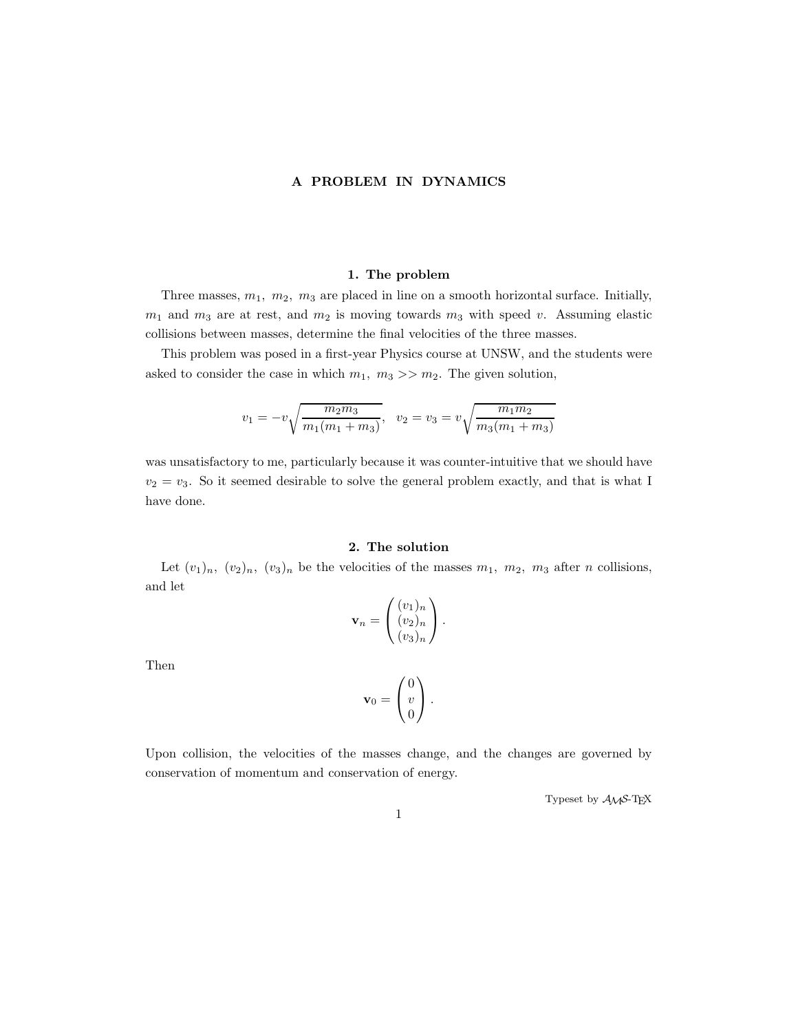#### A PROBLEM IN DYNAMICS

#### 1. The problem

Three masses,  $m_1$ ,  $m_2$ ,  $m_3$  are placed in line on a smooth horizontal surface. Initially,  $m_1$  and  $m_3$  are at rest, and  $m_2$  is moving towards  $m_3$  with speed v. Assuming elastic collisions between masses, determine the final velocities of the three masses.

This problem was posed in a first-year Physics course at UNSW, and the students were asked to consider the case in which  $m_1$ ,  $m_3 >> m_2$ . The given solution,

$$
v_1 = -v \sqrt{\frac{m_2 m_3}{m_1 (m_1 + m_3)}}, \quad v_2 = v_3 = v \sqrt{\frac{m_1 m_2}{m_3 (m_1 + m_3)}}
$$

was unsatisfactory to me, particularly because it was counter-intuitive that we should have  $v_2 = v_3$ . So it seemed desirable to solve the general problem exactly, and that is what I have done.

#### 2. The solution

Let  $(v_1)_n$ ,  $(v_2)_n$ ,  $(v_3)_n$  be the velocities of the masses  $m_1$ ,  $m_2$ ,  $m_3$  after n collisions, and let

$$
\mathbf{v}_n = \begin{pmatrix} (v_1)_n \\ (v_2)_n \\ (v_3)_n \end{pmatrix}.
$$

Then

$$
\mathbf{v}_0 = \begin{pmatrix} 0 \\ v \\ 0 \end{pmatrix}.
$$

Upon collision, the velocities of the masses change, and the changes are governed by conservation of momentum and conservation of energy.

Typeset by  $\mathcal{A}\mathcal{M}$ S-TEX

1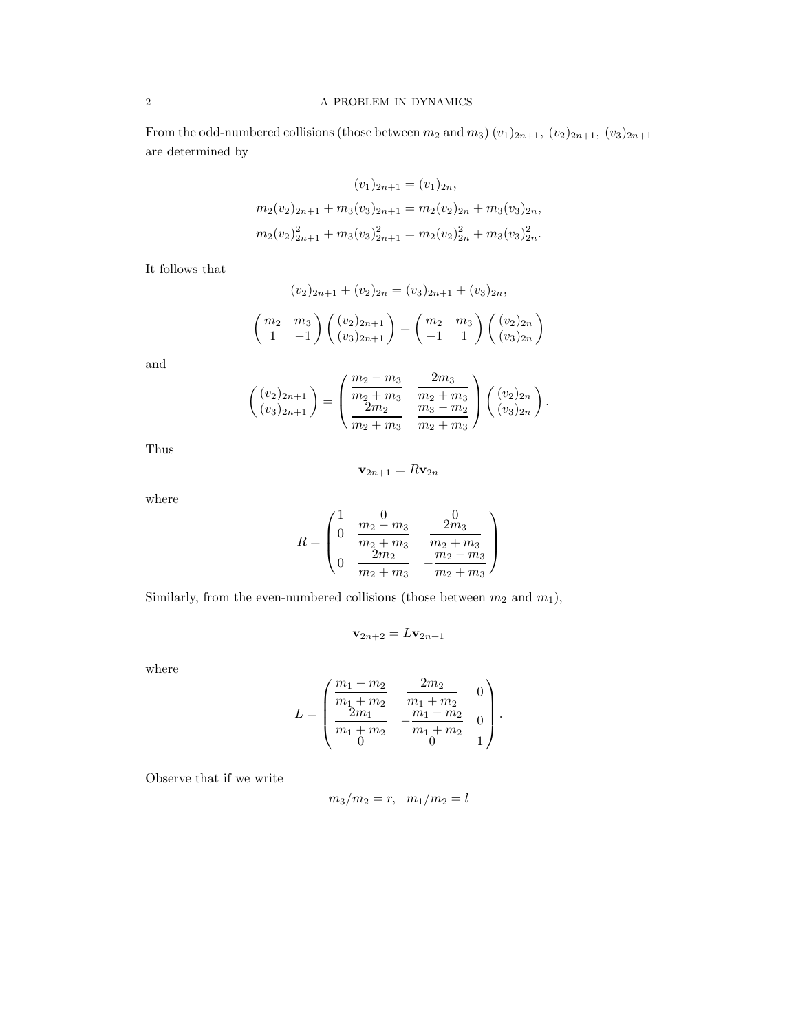## $2\,$   $\,$  A PROBLEM IN DYNAMICS

From the odd-numbered collisions (those between  $m_2$  and  $m_3$ )  $(v_1)_{2n+1}$ ,  $(v_2)_{2n+1}$ ,  $(v_3)_{2n+1}$ are determined by

$$
(v_1)_{2n+1} = (v_1)_{2n},
$$
  
\n
$$
m_2(v_2)_{2n+1} + m_3(v_3)_{2n+1} = m_2(v_2)_{2n} + m_3(v_3)_{2n},
$$
  
\n
$$
m_2(v_2)_{2n+1}^2 + m_3(v_3)_{2n+1}^2 = m_2(v_2)_{2n}^2 + m_3(v_3)_{2n}^2.
$$

It follows that

$$
(v_2)_{2n+1} + (v_2)_{2n} = (v_3)_{2n+1} + (v_3)_{2n},
$$

$$
\begin{pmatrix} m_2 & m_3 \\ 1 & -1 \end{pmatrix} \begin{pmatrix} (v_2)_{2n+1} \\ (v_3)_{2n+1} \end{pmatrix} = \begin{pmatrix} m_2 & m_3 \\ -1 & 1 \end{pmatrix} \begin{pmatrix} (v_2)_{2n} \\ (v_3)_{2n} \end{pmatrix}
$$

 $\setminus$ 

and

$$
\begin{pmatrix}\n(v_2)_{2n+1} \\
(v_3)_{2n+1}\n\end{pmatrix} = \begin{pmatrix}\n\frac{m_2 - m_3}{m_2 + m_3} & \frac{2m_3}{m_2 + m_3} \\
\frac{2m_2}{m_2 + m_3} & \frac{m_3 - m_2}{m_2 + m_3}\n\end{pmatrix} \begin{pmatrix}\n(v_2)_{2n} \\
(v_3)_{2n}\n\end{pmatrix}.
$$

Thus

$$
\mathbf{v}_{2n+1} = R\mathbf{v}_{2n}
$$

where

$$
R = \begin{pmatrix} 1 & 0 & 0 \\ 0 & \frac{m_2 - m_3}{m_2 + m_3} & \frac{2m_3}{m_2 + m_3} \\ 0 & \frac{2m_2}{m_2 + m_3} & -\frac{m_2 - m_3}{m_2 + m_3} \end{pmatrix}
$$

Similarly, from the even-numbered collisions (those between  $m_2$  and  $m_1$ ),

$$
\mathbf{v}_{2n+2} = L\mathbf{v}_{2n+1}
$$

where

$$
L = \begin{pmatrix} \frac{m_1 - m_2}{m_1 + m_2} & \frac{2m_2}{m_1 + m_2} & 0\\ \frac{2m_1}{m_1 + m_2} & -\frac{m_1 - m_2}{m_1 + m_2} & 0\\ 0 & 0 & 1 \end{pmatrix}.
$$

Observe that if we write

$$
m_3/m_2 = r
$$
,  $m_1/m_2 = l$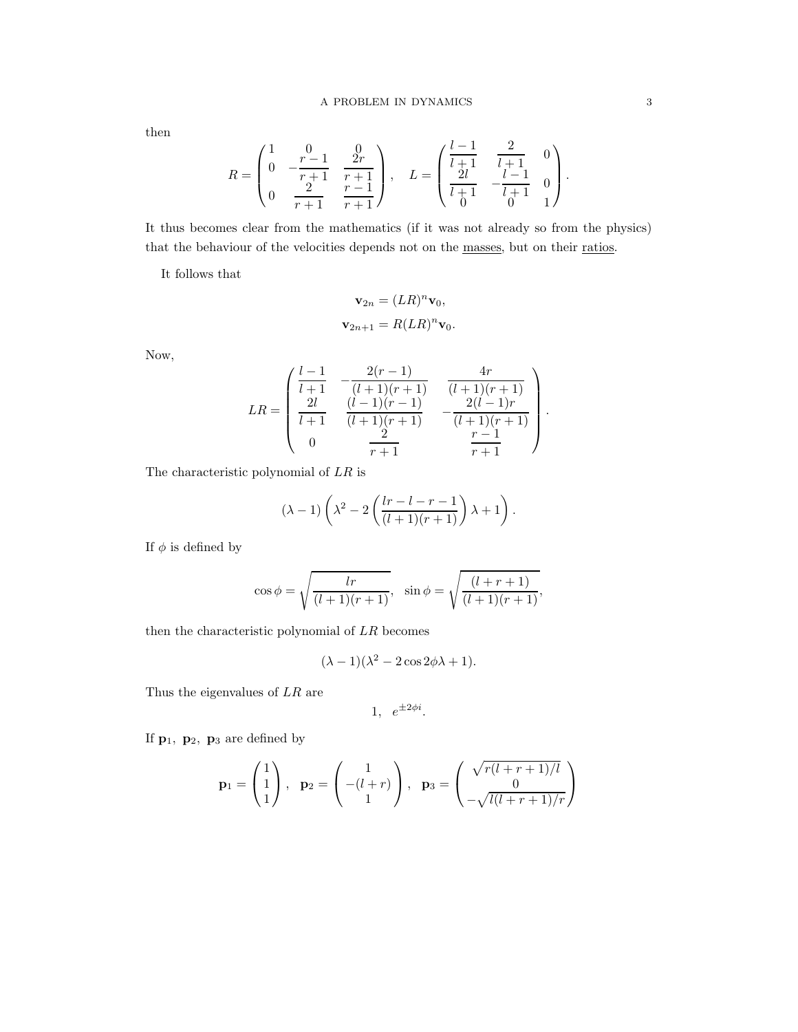then

$$
R = \begin{pmatrix} 1 & 0 & 0 \ 0 & -\frac{r-1}{r+1} & \frac{2r}{r+1} \\ 0 & \frac{2}{r+1} & \frac{r-1}{r+1} \end{pmatrix}, \quad L = \begin{pmatrix} \frac{l-1}{l+1} & \frac{2}{l+1} & 0 \\ \frac{2l}{l+1} & -\frac{l-1}{l+1} & 0 \\ 0 & 0 & 1 \end{pmatrix}.
$$

It thus becomes clear from the mathematics (if it was not already so from the physics) that the behaviour of the velocities depends not on the masses, but on their ratios.

It follows that

$$
\mathbf{v}_{2n} = (LR)^n \mathbf{v}_0,
$$
  

$$
\mathbf{v}_{2n+1} = R(LR)^n \mathbf{v}_0.
$$

Now,

$$
LR = \begin{pmatrix} \frac{l-1}{l+1} & -\frac{2(r-1)}{(l+1)(r+1)} & \frac{4r}{(l+1)(r+1)} \\ \frac{2l}{l+1} & \frac{(l-1)(r-1)}{(l+1)(r+1)} & -\frac{2(l-1)r}{(l+1)(r+1)} \\ 0 & \frac{2}{r+1} & \frac{r-1}{r+1} \end{pmatrix}.
$$

The characteristic polynomial of  $LR$  is

$$
(\lambda - 1)\left(\lambda^2 - 2\left(\frac{lr - l - r - 1}{(l + 1)(r + 1)}\right)\lambda + 1\right).
$$

If  $\phi$  is defined by

$$
\cos \phi = \sqrt{\frac{lr}{(l+1)(r+1)}}, \quad \sin \phi = \sqrt{\frac{(l+r+1)}{(l+1)(r+1)}},
$$

then the characteristic polynomial of LR becomes

$$
(\lambda - 1)(\lambda^2 - 2\cos 2\phi\lambda + 1).
$$

Thus the eigenvalues of  $LR$  are

$$
1, e^{\pm 2\phi i}.
$$

If  $\mathbf{p}_1$ ,  $\mathbf{p}_2$ ,  $\mathbf{p}_3$  are defined by

$$
\mathbf{p}_1 = \begin{pmatrix} 1 \\ 1 \\ 1 \end{pmatrix}, \quad \mathbf{p}_2 = \begin{pmatrix} 1 \\ -(l+r) \\ 1 \end{pmatrix}, \quad \mathbf{p}_3 = \begin{pmatrix} \sqrt{r(l+r+1)/l} \\ 0 \\ -\sqrt{l(l+r+1)/r} \end{pmatrix}
$$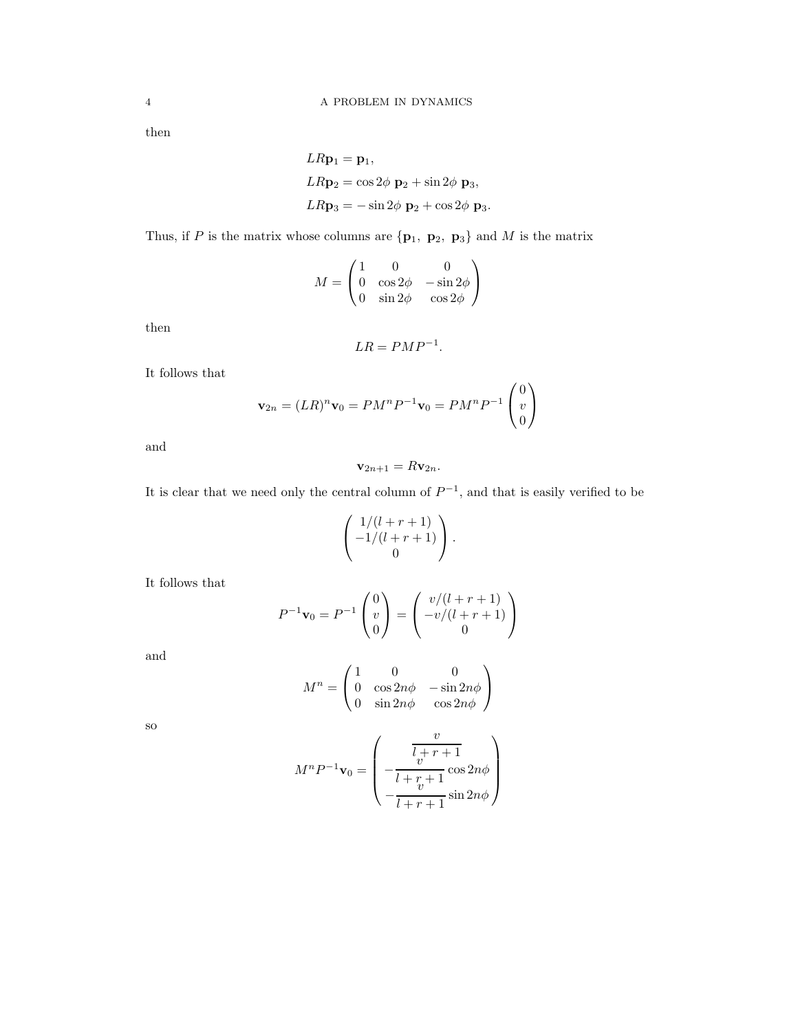then

$$
LR\mathbf{p}_1 = \mathbf{p}_1,
$$
  
\n
$$
LR\mathbf{p}_2 = \cos 2\phi \mathbf{p}_2 + \sin 2\phi \mathbf{p}_3,
$$
  
\n
$$
LR\mathbf{p}_3 = -\sin 2\phi \mathbf{p}_2 + \cos 2\phi \mathbf{p}_3.
$$

Thus, if P is the matrix whose columns are  $\{p_1, p_2, p_3\}$  and M is the matrix

$$
M = \begin{pmatrix} 1 & 0 & 0 \\ 0 & \cos 2\phi & -\sin 2\phi \\ 0 & \sin 2\phi & \cos 2\phi \end{pmatrix}
$$

then

$$
LR = PMP^{-1}.
$$

It follows that

$$
\mathbf{v}_{2n} = (LR)^n \mathbf{v}_0 = PM^n P^{-1} \mathbf{v}_0 = PM^n P^{-1} \begin{pmatrix} 0 \\ v \\ 0 \end{pmatrix}
$$

and

$$
\mathbf{v}_{2n+1} = R \mathbf{v}_{2n}.
$$

It is clear that we need only the central column of  $P^{-1}$ , and that is easily verified to be

$$
\left( \begin{array}{c} 1/(l+r+1) \\ -1/(l+r+1) \\ 0 \end{array} \right).
$$

It follows that

$$
P^{-1}\mathbf{v}_0 = P^{-1}\begin{pmatrix} 0\\v\\0 \end{pmatrix} = \begin{pmatrix} v/(l+r+1)\\-v/(l+r+1)\\0 \end{pmatrix}
$$

and

$$
M^n = \begin{pmatrix} 1 & 0 & 0 \\ 0 & \cos 2n\phi & -\sin 2n\phi \\ 0 & \sin 2n\phi & \cos 2n\phi \end{pmatrix}
$$

so

$$
M^{n}P^{-1}\mathbf{v}_{0} = \begin{pmatrix} v \\ \frac{l_{v}^{+}r + 1}{l + r + 1} \cos 2n\phi \\ -\frac{v}{l + r + 1} \sin 2n\phi \end{pmatrix}
$$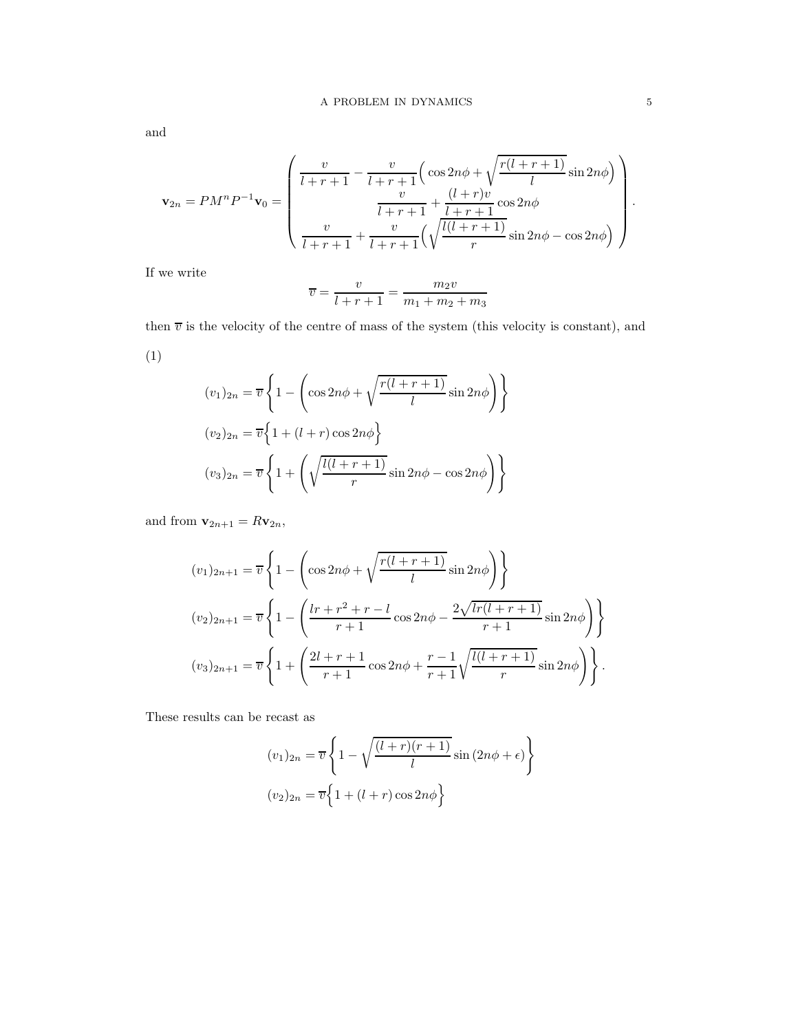and

$$
\mathbf{v}_{2n} = PM^{n}P^{-1}\mathbf{v}_{0} = \begin{pmatrix} \frac{v}{l+r+1} - \frac{v}{l+r+1} \Big( \cos 2n\phi + \sqrt{\frac{r(l+r+1)}{l}} \sin 2n\phi \Big) \\ \frac{v}{l+r+1} + \frac{(l+r)v}{l+r+1} \cos 2n\phi \\ \frac{v}{l+r+1} + \frac{v}{l+r+1} \Big( \sqrt{\frac{l(l+r+1)}{r}} \sin 2n\phi - \cos 2n\phi \Big) \end{pmatrix}
$$

If we write

$$
\overline{v} = \frac{v}{l+r+1} = \frac{m_2 v}{m_1 + m_2 + m_3}
$$

then  $\overline{v}$  is the velocity of the centre of mass of the system (this velocity is constant), and

(1)

$$
(v_1)_{2n} = \overline{v} \left\{ 1 - \left( \cos 2n\phi + \sqrt{\frac{r(l+r+1)}{l}} \sin 2n\phi \right) \right\}
$$

$$
(v_2)_{2n} = \overline{v} \left\{ 1 + (l+r) \cos 2n\phi \right\}
$$

$$
(v_3)_{2n} = \overline{v} \left\{ 1 + \left( \sqrt{\frac{l(l+r+1)}{r}} \sin 2n\phi - \cos 2n\phi \right) \right\}
$$

and from  $\mathbf{v}_{2n+1} = R \mathbf{v}_{2n}$ ,

$$
(v_1)_{2n+1} = \overline{v} \left\{ 1 - \left( \cos 2n\phi + \sqrt{\frac{r(l+r+1)}{l}} \sin 2n\phi \right) \right\}
$$
  

$$
(v_2)_{2n+1} = \overline{v} \left\{ 1 - \left( \frac{lr + r^2 + r - l}{r+1} \cos 2n\phi - \frac{2\sqrt{lr(l+r+1)}}{r+1} \sin 2n\phi \right) \right\}
$$
  

$$
(v_3)_{2n+1} = \overline{v} \left\{ 1 + \left( \frac{2l+r+1}{r+1} \cos 2n\phi + \frac{r-1}{r+1} \sqrt{\frac{l(l+r+1)}{r}} \sin 2n\phi \right) \right\}.
$$

These results can be recast as

$$
(v_1)_{2n} = \overline{v} \left\{ 1 - \sqrt{\frac{(l+r)(r+1)}{l}} \sin(2n\phi + \epsilon) \right\}
$$

$$
(v_2)_{2n} = \overline{v} \left\{ 1 + (l+r) \cos 2n\phi \right\}
$$

.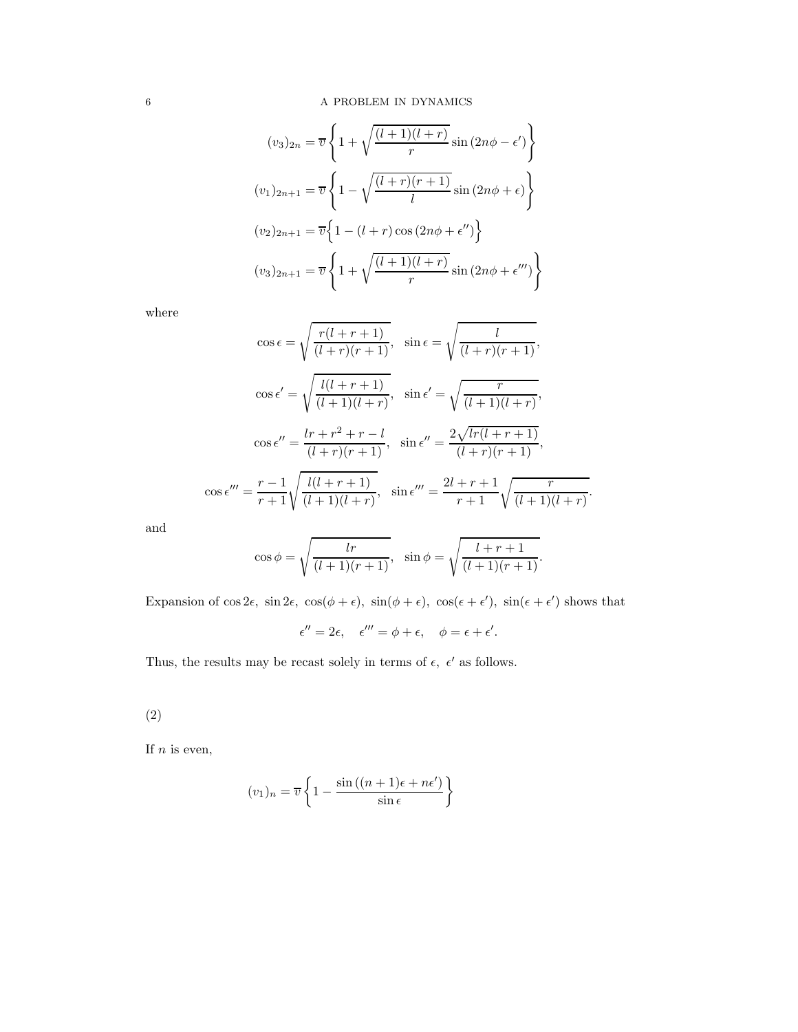$$
(v_3)_{2n} = \overline{v} \left\{ 1 + \sqrt{\frac{(l+1)(l+r)}{r}} \sin(2n\phi - \epsilon') \right\}
$$

$$
(v_1)_{2n+1} = \overline{v} \left\{ 1 - \sqrt{\frac{(l+r)(r+1)}{l}} \sin(2n\phi + \epsilon) \right\}
$$

$$
(v_2)_{2n+1} = \overline{v} \left\{ 1 - (l+r) \cos(2n\phi + \epsilon'') \right\}
$$

$$
(v_3)_{2n+1} = \overline{v} \left\{ 1 + \sqrt{\frac{(l+1)(l+r)}{r}} \sin(2n\phi + \epsilon''') \right\}
$$

where

$$
\cos \epsilon = \sqrt{\frac{r(l+r+1)}{(l+r)(r+1)}}, \quad \sin \epsilon = \sqrt{\frac{l}{(l+r)(r+1)}},
$$

$$
\cos \epsilon' = \sqrt{\frac{l(l+r+1)}{(l+1)(l+r)}}, \quad \sin \epsilon' = \sqrt{\frac{r}{(l+1)(l+r)}},
$$

$$
\cos \epsilon'' = \frac{lr+r^2+r-l}{(l+r)(r+1)}, \quad \sin \epsilon'' = \frac{2\sqrt{lr(l+r+1)}}{(l+r)(r+1)},
$$

$$
\cos \epsilon''' = \frac{r-1}{r+1} \sqrt{\frac{l(l+r+1)}{(l+1)(l+r)}}, \quad \sin \epsilon''' = \frac{2l+r+1}{r+1} \sqrt{\frac{r}{(l+1)(l+r)}}.
$$

and

$$
\cos \phi = \sqrt{\frac{lr}{(l+1)(r+1)}}, \quad \sin \phi = \sqrt{\frac{l+r+1}{(l+1)(r+1)}}.
$$

Expansion of  $\cos 2\epsilon$ ,  $\sin 2\epsilon$ ,  $\cos(\phi + \epsilon)$ ,  $\sin(\phi + \epsilon)$ ,  $\cos(\epsilon + \epsilon')$ ,  $\sin(\epsilon + \epsilon')$  shows that

$$
\epsilon'' = 2\epsilon, \quad \epsilon''' = \phi + \epsilon, \quad \phi = \epsilon + \epsilon'.
$$

Thus, the results may be recast solely in terms of  $\epsilon,~\epsilon'$  as follows.

(2)

If  $n$  is even,

$$
(v_1)_n = \overline{v} \left\{ 1 - \frac{\sin((n+1)\epsilon + n\epsilon')}{\sin \epsilon} \right\}
$$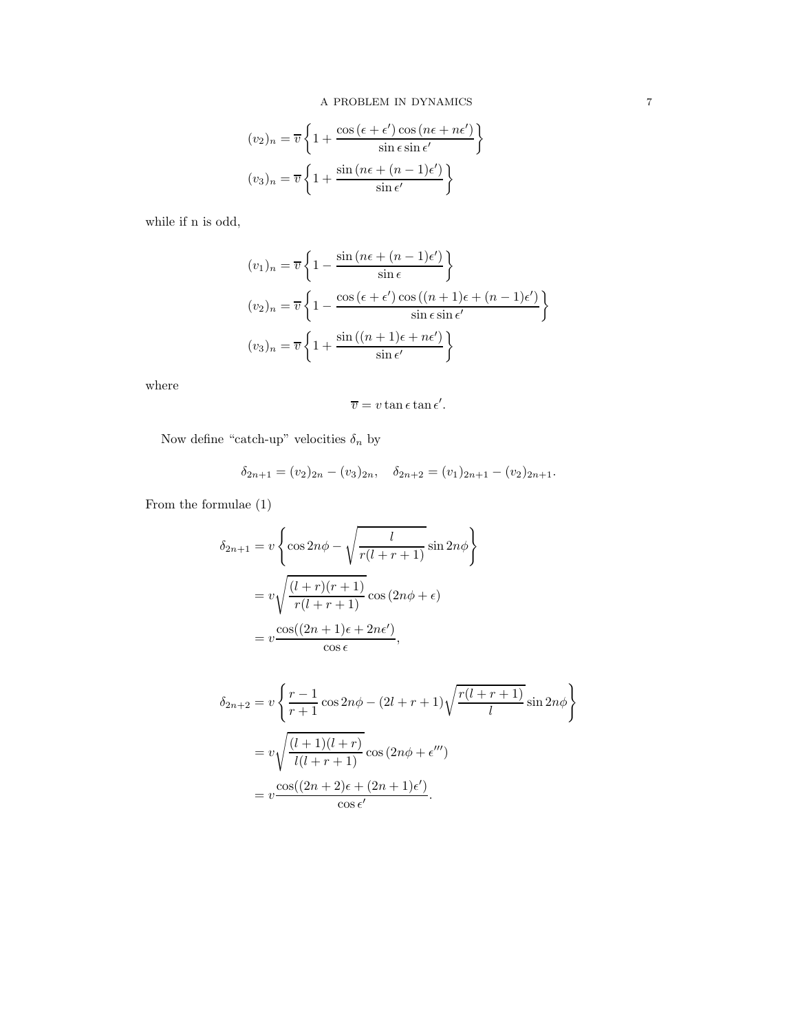$$
(v_2)_n = \overline{v} \left\{ 1 + \frac{\cos (\epsilon + \epsilon') \cos (n\epsilon + n\epsilon')}{\sin \epsilon \sin \epsilon'} \right\}
$$

$$
(v_3)_n = \overline{v} \left\{ 1 + \frac{\sin (n\epsilon + (n-1)\epsilon')}{\sin \epsilon'} \right\}
$$

while if n is odd,

$$
(v_1)_n = \overline{v} \left\{ 1 - \frac{\sin (n\epsilon + (n-1)\epsilon')}{\sin \epsilon} \right\}
$$

$$
(v_2)_n = \overline{v} \left\{ 1 - \frac{\cos (\epsilon + \epsilon') \cos ((n+1)\epsilon + (n-1)\epsilon')}{\sin \epsilon \sin \epsilon'} \right\}
$$

$$
(v_3)_n = \overline{v} \left\{ 1 + \frac{\sin ((n+1)\epsilon + n\epsilon')}{\sin \epsilon'} \right\}
$$

where

$$
\overline{v} = v \tan \epsilon \tan \epsilon'.
$$

Now define "catch-up" velocities  $\delta_n$  by

$$
\delta_{2n+1} = (v_2)_{2n} - (v_3)_{2n}, \quad \delta_{2n+2} = (v_1)_{2n+1} - (v_2)_{2n+1}.
$$

From the formulae (1)

$$
\delta_{2n+1} = v \left\{ \cos 2n\phi - \sqrt{\frac{l}{r(l+r+1)}} \sin 2n\phi \right\}
$$

$$
= v \sqrt{\frac{(l+r)(r+1)}{r(l+r+1)}} \cos (2n\phi + \epsilon)
$$

$$
= v \frac{\cos((2n+1)\epsilon + 2n\epsilon')}{\cos \epsilon},
$$

$$
\delta_{2n+2} = v \left\{ \frac{r-1}{r+1} \cos 2n\phi - (2l+r+1) \sqrt{\frac{r(l+r+1)}{l}} \sin 2n\phi \right\}
$$
  
= 
$$
v \sqrt{\frac{(l+1)(l+r)}{l(l+r+1)}} \cos (2n\phi + \epsilon^{\prime\prime\prime})
$$
  
= 
$$
v \frac{\cos((2n+2)\epsilon + (2n+1)\epsilon^{\prime})}{\cos \epsilon^{\prime}}.
$$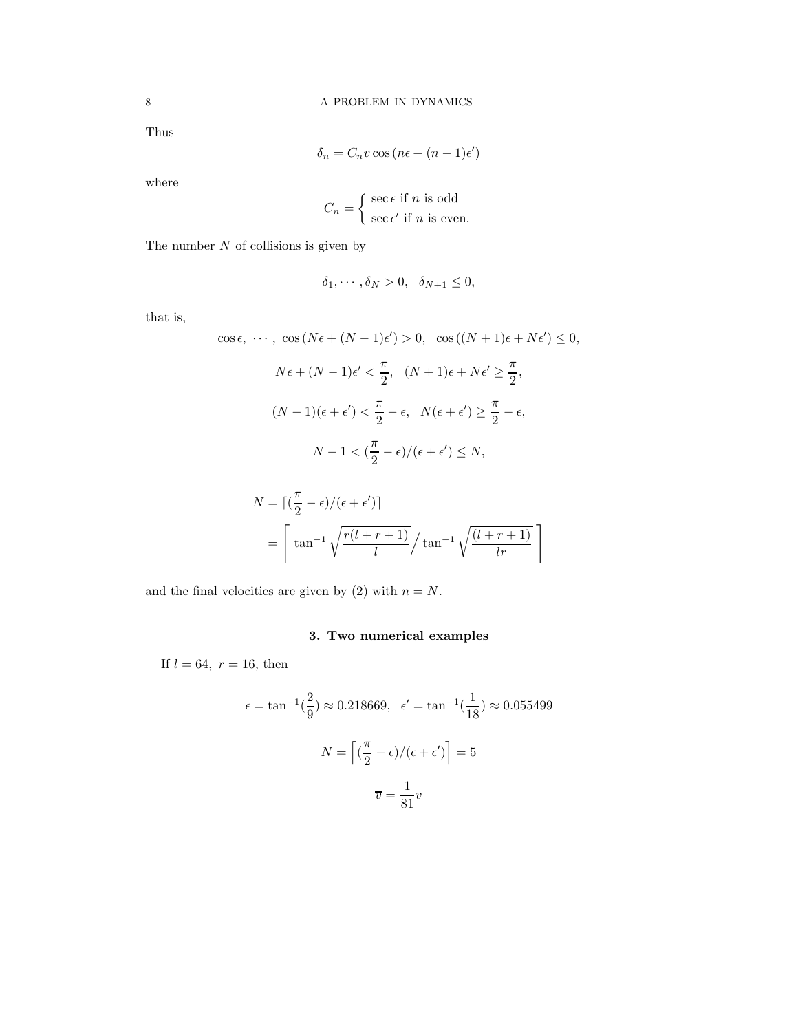Thus

$$
\delta_n = C_n v \cos\left(n\epsilon + (n-1)\epsilon'\right)
$$

where

$$
C_n = \begin{cases} \sec \epsilon & \text{if } n \text{ is odd} \\ \sec \epsilon' & \text{if } n \text{ is even.} \end{cases}
$$

The number  $N$  of collisions is given by

$$
\delta_1, \cdots, \delta_N > 0, \quad \delta_{N+1} \le 0,
$$

that is,

$$
\cos \epsilon, \dots, \cos (N\epsilon + (N-1)\epsilon') > 0, \cos ((N+1)\epsilon + N\epsilon') \le 0,
$$
  

$$
N\epsilon + (N-1)\epsilon' < \frac{\pi}{2}, (N+1)\epsilon + N\epsilon' \ge \frac{\pi}{2},
$$
  

$$
(N-1)(\epsilon + \epsilon') < \frac{\pi}{2} - \epsilon, N(\epsilon + \epsilon') \ge \frac{\pi}{2} - \epsilon,
$$

$$
N-1<(\frac{\pi}{2}-\epsilon)/(\epsilon+\epsilon')\leq N,
$$

$$
N = \left\lceil \left(\frac{\pi}{2} - \epsilon\right) / (\epsilon + \epsilon') \right\rceil
$$
  
= 
$$
\left\lceil \tan^{-1} \sqrt{\frac{r(l+r+1)}{l}} / \tan^{-1} \sqrt{\frac{(l+r+1)}{lr}} \right\rceil
$$

and the final velocities are given by (2) with  $n = N$ .

# 3. Two numerical examples

If  $l = 64$ ,  $r = 16$ , then

$$
\epsilon = \tan^{-1}\left(\frac{2}{9}\right) \approx 0.218669, \quad \epsilon' = \tan^{-1}\left(\frac{1}{18}\right) \approx 0.055499
$$

$$
N = \left[\left(\frac{\pi}{2} - \epsilon\right) / (\epsilon + \epsilon')\right] = 5
$$

$$
\overline{v} = \frac{1}{81}v
$$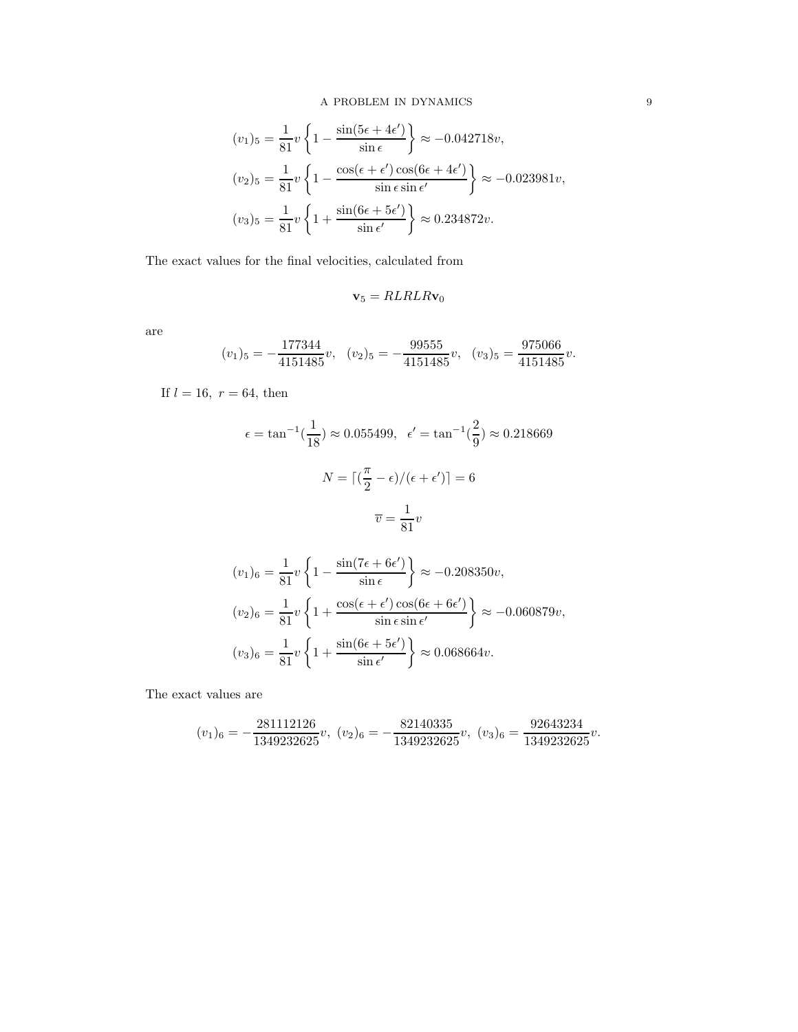$$
(v_1)_5 = \frac{1}{81}v\left\{1 - \frac{\sin(5\epsilon + 4\epsilon')}{\sin \epsilon}\right\} \approx -0.042718v,
$$
  

$$
(v_2)_5 = \frac{1}{81}v\left\{1 - \frac{\cos(\epsilon + \epsilon')\cos(6\epsilon + 4\epsilon')}{\sin \epsilon \sin \epsilon'}\right\} \approx -0.023981v,
$$
  

$$
(v_3)_5 = \frac{1}{81}v\left\{1 + \frac{\sin(6\epsilon + 5\epsilon')}{\sin \epsilon'}\right\} \approx 0.234872v.
$$

The exact values for the final velocities, calculated from

$$
\mathbf{v}_5 = RLRLR\mathbf{v}_0
$$

are

$$
(v_1)_5 = -\frac{177344}{4151485}v
$$
,  $(v_2)_5 = -\frac{99555}{4151485}v$ ,  $(v_3)_5 = \frac{975066}{4151485}v$ .

If  $l = 16, r = 64$ , then

$$
\epsilon = \tan^{-1}\left(\frac{1}{18}\right) \approx 0.055499, \quad \epsilon' = \tan^{-1}\left(\frac{2}{9}\right) \approx 0.218669
$$

$$
N = \left\lceil \left(\frac{\pi}{2} - \epsilon\right) / (\epsilon + \epsilon') \right\rceil = 6
$$

$$
\overline{v} = \frac{1}{81}v
$$

$$
(v_1)_6 = \frac{1}{81}v\left\{1 - \frac{\sin(7\epsilon + 6\epsilon')}{\sin \epsilon}\right\} \approx -0.208350v,
$$
  

$$
(v_2)_6 = \frac{1}{81}v\left\{1 + \frac{\cos(\epsilon + \epsilon')\cos(6\epsilon + 6\epsilon')}{\sin \epsilon \sin \epsilon'}\right\} \approx -0.060879v,
$$
  

$$
(v_3)_6 = \frac{1}{81}v\left\{1 + \frac{\sin(6\epsilon + 5\epsilon')}{\sin \epsilon'}\right\} \approx 0.068664v.
$$

The exact values are

$$
(v_1)_6=-\frac{281112126}{1349232625}v,\ (v_2)_6=-\frac{82140335}{1349232625}v,\ (v_3)_6=\frac{92643234}{1349232625}v.
$$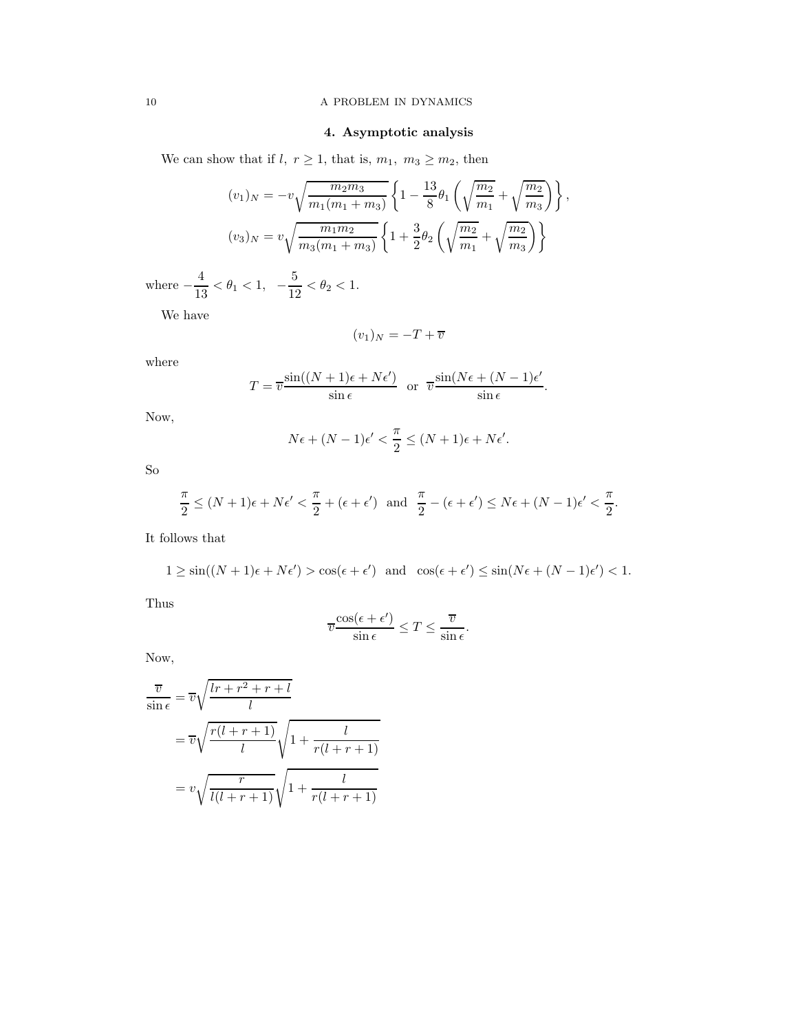### 10 A PROBLEM IN DYNAMICS

# 4. Asymptotic analysis

We can show that if l,  $\,r\geq 1,$  that is,  $m_1,\ m_3\geq m_2,$  then

$$
(v_1)_N = -v\sqrt{\frac{m_2 m_3}{m_1(m_1 + m_3)}} \left\{ 1 - \frac{13}{8} \theta_1 \left( \sqrt{\frac{m_2}{m_1}} + \sqrt{\frac{m_2}{m_3}} \right) \right\},\
$$

$$
(v_3)_N = v\sqrt{\frac{m_1 m_2}{m_3(m_1 + m_3)}} \left\{ 1 + \frac{3}{2} \theta_2 \left( \sqrt{\frac{m_2}{m_1}} + \sqrt{\frac{m_2}{m_3}} \right) \right\}
$$

where  $-\frac{4}{15}$  $\frac{4}{13} < \theta_1 < 1, -\frac{5}{12}$  $\frac{6}{12} < \theta_2 < 1.$ 

We have

$$
(v_1)_N = -T + \overline{v}
$$

where

$$
T = \overline{v} \frac{\sin((N+1)\epsilon + N\epsilon')}{\sin \epsilon} \text{ or } \overline{v} \frac{\sin(N\epsilon + (N-1)\epsilon')}{\sin \epsilon}.
$$

Now,

$$
N\epsilon + (N-1)\epsilon' < \frac{\pi}{2} \le (N+1)\epsilon + N\epsilon'.
$$

So

$$
\frac{\pi}{2} \le (N+1)\epsilon + N\epsilon' < \frac{\pi}{2} + (\epsilon + \epsilon') \quad \text{and} \quad \frac{\pi}{2} - (\epsilon + \epsilon') \le N\epsilon + (N-1)\epsilon' < \frac{\pi}{2}.
$$

It follows that

$$
1 \ge \sin((N+1)\epsilon + N\epsilon') > \cos(\epsilon + \epsilon') \quad \text{and} \quad \cos(\epsilon + \epsilon') \le \sin(N\epsilon + (N-1)\epsilon') < 1.
$$

Thus

$$
\overline{v}\frac{\cos(\epsilon+\epsilon')}{\sin\epsilon} \leq T \leq \frac{\overline{v}}{\sin\epsilon}.
$$

Now,

$$
\frac{\overline{v}}{\sin \epsilon} = \overline{v} \sqrt{\frac{lr + r^2 + r + l}{l}}
$$

$$
= \overline{v} \sqrt{\frac{r(l + r + 1)}{l}} \sqrt{1 + \frac{l}{r(l + r + 1)}}
$$

$$
= v \sqrt{\frac{r}{l(l + r + 1)}} \sqrt{1 + \frac{l}{r(l + r + 1)}}
$$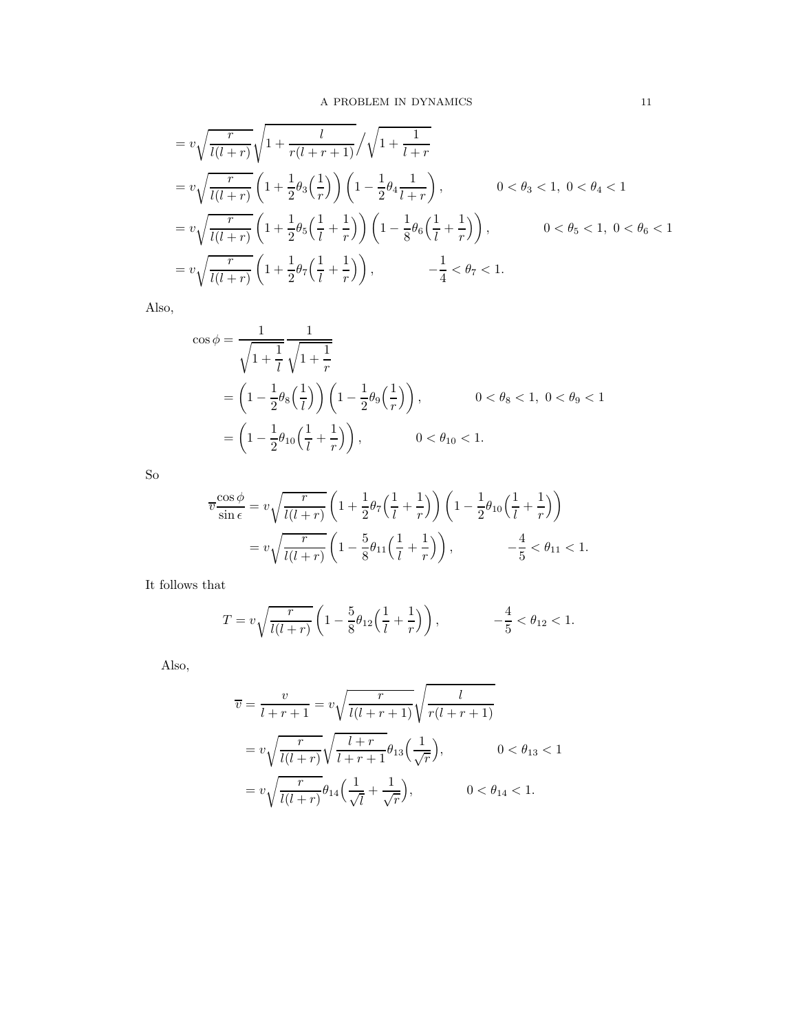$$
= v \sqrt{\frac{r}{l(l+r)}} \sqrt{1 + \frac{l}{r(l+r+1)}} / \sqrt{1 + \frac{1}{l+r}}
$$
  
\n
$$
= v \sqrt{\frac{r}{l(l+r)}} \left(1 + \frac{1}{2} \theta_3 \left(\frac{1}{r}\right)\right) \left(1 - \frac{1}{2} \theta_4 \frac{1}{l+r}\right), \qquad 0 < \theta_3 < 1, 0 < \theta_4 < 1
$$
  
\n
$$
= v \sqrt{\frac{r}{l(l+r)}} \left(1 + \frac{1}{2} \theta_5 \left(\frac{1}{l} + \frac{1}{r}\right)\right) \left(1 - \frac{1}{8} \theta_6 \left(\frac{1}{l} + \frac{1}{r}\right)\right), \qquad 0 < \theta_5 < 1, 0 < \theta_6 < 1
$$
  
\n
$$
= v \sqrt{\frac{r}{l(l+r)}} \left(1 + \frac{1}{2} \theta_7 \left(\frac{1}{l} + \frac{1}{r}\right)\right), \qquad -\frac{1}{4} < \theta_7 < 1.
$$

Also,

$$
\cos \phi = \frac{1}{\sqrt{1 + \frac{1}{l}} \sqrt{1 + \frac{1}{r}}}
$$
  
=  $\left(1 - \frac{1}{2}\theta_8\left(\frac{1}{l}\right)\right) \left(1 - \frac{1}{2}\theta_9\left(\frac{1}{r}\right)\right)$ ,  $0 < \theta_8 < 1, 0 < \theta_9 < 1$   
=  $\left(1 - \frac{1}{2}\theta_{10}\left(\frac{1}{l} + \frac{1}{r}\right)\right)$ ,  $0 < \theta_{10} < 1$ .

So

$$
\overline{v} \frac{\cos \phi}{\sin \epsilon} = v \sqrt{\frac{r}{l(l+r)}} \left( 1 + \frac{1}{2} \theta_7 \left( \frac{1}{l} + \frac{1}{r} \right) \right) \left( 1 - \frac{1}{2} \theta_{10} \left( \frac{1}{l} + \frac{1}{r} \right) \right)
$$
  
=  $v \sqrt{\frac{r}{l(l+r)}} \left( 1 - \frac{5}{8} \theta_{11} \left( \frac{1}{l} + \frac{1}{r} \right) \right), \qquad -\frac{4}{5} < \theta_{11} < 1.$ 

It follows that

$$
T = v \sqrt{\frac{r}{l(l+r)}} \left( 1 - \frac{5}{8} \theta_{12} \left( \frac{1}{l} + \frac{1}{r} \right) \right), \qquad -\frac{4}{5} < \theta_{12} < 1.
$$

Also,

$$
\overline{v} = \frac{v}{l+r+1} = v \sqrt{\frac{r}{l(l+r+1)}} \sqrt{\frac{l}{r(l+r+1)}}
$$

$$
= v \sqrt{\frac{r}{l(l+r)}} \sqrt{\frac{l+r}{l+r+1}} \theta_{13} \left(\frac{1}{\sqrt{r}}\right), \qquad 0 < \theta_{13} < 1
$$

$$
= v \sqrt{\frac{r}{l(l+r)}} \theta_{14} \left(\frac{1}{\sqrt{l}} + \frac{1}{\sqrt{r}}\right), \qquad 0 < \theta_{14} < 1.
$$